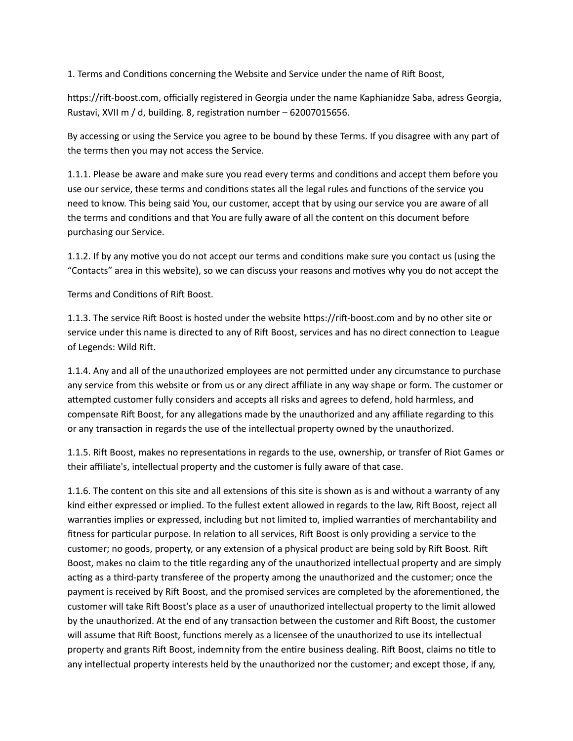1. Terms and Conditions concerning the Website and Service under the name of Rift Boost,

https://rift-boost.com, officially registered in Georgia under the name Kaphianidze Saba, adress Georgia, Rustavi, XVII m / d, building. 8, registration number – 62007015656.

By accessing or using the Service you agree to be bound by these Terms. If you disagree with any part of the terms then you may not access the Service.

1.1.1. Please be aware and make sure you read every terms and conditions and accept them before you use our service, these terms and conditions states all the legal rules and functions of the service you need to know. This being said You, our customer, accept that by using our service you are aware of all the terms and conditions and that You are fully aware of all the content on this document before purchasing our Service.

1.1.2. If by any motive you do not accept our terms and conditions make sure you contact us (using the "Contacts" area in this website), so we can discuss your reasons and motives why you do not accept the

Terms and Conditions of Rift Boost.

1.1.3. The service Rift Boost is hosted under the website https://rift-boost.com and by no other site or service under this name is directed to any of Rift Boost, services and has no direct connection to League of Legends: Wild Rift.

1.1.4. Any and all of the unauthorized employees are not permitted under any circumstance to purchase any service from this website or from us or any direct affiliate in any way shape or form. The customer or attempted customer fully considers and accepts all risks and agrees to defend, hold harmless, and compensate Rift Boost, for any allegations made by the unauthorized and any affiliate regarding to this or any transaction in regards the use of the intellectual property owned by the unauthorized.

1.1.5. Rift Boost, makes no representations in regards to the use, ownership, or transfer of Riot Games or their affiliate's, intellectual property and the customer is fully aware of that case.

1.1.6. The content on this site and all extensions of this site is shown as is and without a warranty of any kind either expressed or implied. To the fullest extent allowed in regards to the law, Rift Boost, reject all warranties implies or expressed, including but not limited to, implied warranties of merchantability and fitness for particular purpose. In relation to all services, Rift Boost is only providing a service to the customer; no goods, property, or any extension of a physical product are being sold by Rift Boost. Rift Boost, makes no claim to the title regarding any of the unauthorized intellectual property and are simply acting as a third-party transferee of the property among the unauthorized and the customer; once the payment is received by Rift Boost, and the promised services are completed by the aforementioned, the customer will take Rift Boost's place as a user of unauthorized intellectual property to the limit allowed by the unauthorized. At the end of any transaction between the customer and Rift Boost, the customer will assume that Rift Boost, functions merely as a licensee of the unauthorized to use its intellectual property and grants Rift Boost, indemnity from the entire business dealing. Rift Boost, claims no title to any intellectual property interests held by the unauthorized nor the customer; and except those, if any,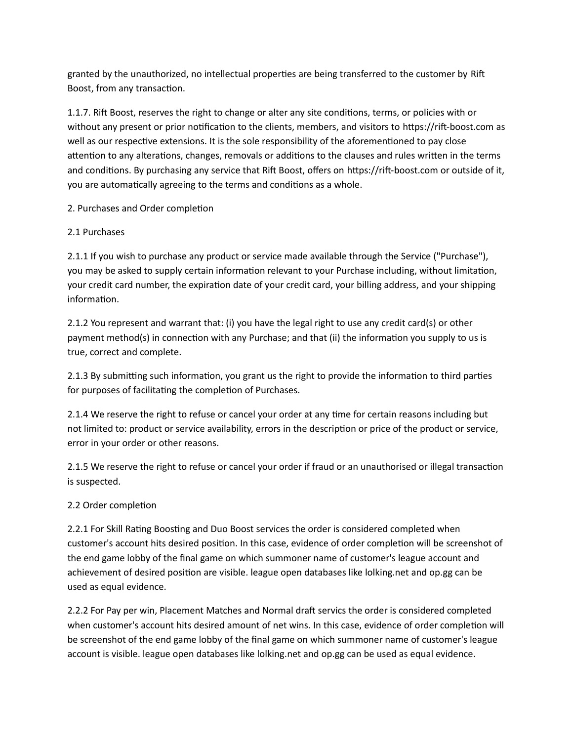granted by the unauthorized, no intellectual properties are being transferred to the customer by Rift Boost, from any transaction.

1.1.7. Rift Boost, reserves the right to change or alter any site conditions, terms, or policies with or without any present or prior notification to the clients, members, and visitors to https://rift-boost.com as well as our respective extensions. It is the sole responsibility of the aforementioned to pay close attention to any alterations, changes, removals or additions to the clauses and rules written in the terms and conditions. By purchasing any service that Rift Boost, offers on https://rift-boost.com or outside of it, you are automatically agreeing to the terms and conditions as a whole.

# 2. Purchases and Order completion

## 2.1 Purchases

2.1.1 If you wish to purchase any product or service made available through the Service ("Purchase"), you may be asked to supply certain information relevant to your Purchase including, without limitation, your credit card number, the expiration date of your credit card, your billing address, and your shipping information.

2.1.2 You represent and warrant that: (i) you have the legal right to use any credit card(s) or other payment method(s) in connection with any Purchase; and that (ii) the information you supply to us is true, correct and complete.

2.1.3 By submitting such information, you grant us the right to provide the information to third parties for purposes of facilitating the completion of Purchases.

2.1.4 We reserve the right to refuse or cancel your order at any time for certain reasons including but not limited to: product or service availability, errors in the description or price of the product or service, error in your order or other reasons.

2.1.5 We reserve the right to refuse or cancel your order if fraud or an unauthorised or illegal transaction is suspected.

# 2.2 Order completion

2.2.1 For Skill Rating Boosting and Duo Boost services the order is considered completed when customer's account hits desired position. In this case, evidence of order completion will be screenshot of the end game lobby of the final game on which summoner name of customer's league account and achievement of desired position are visible. league open databases like lolking.net and op.gg can be used as equal evidence.

2.2.2 For Pay per win, Placement Matches and Normal draft servics the order is considered completed when customer's account hits desired amount of net wins. In this case, evidence of order completion will be screenshot of the end game lobby of the final game on which summoner name of customer's league account is visible. league open databases like lolking.net and op.gg can be used as equal evidence.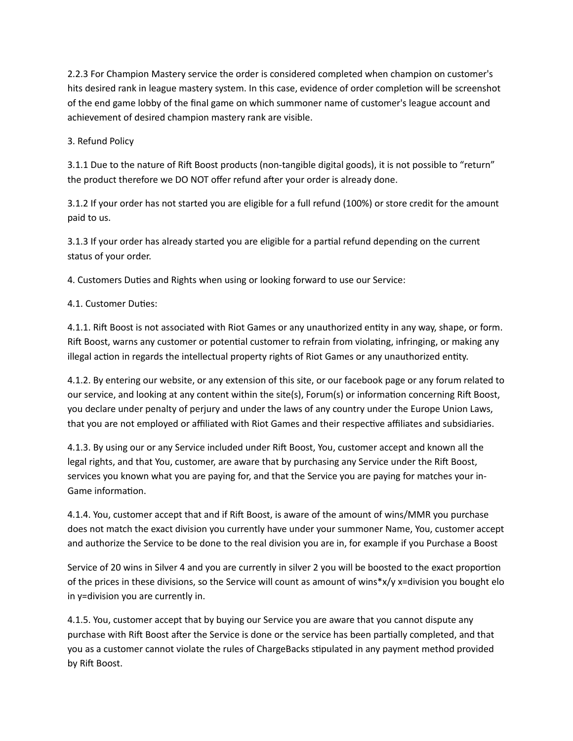2.2.3 For Champion Mastery service the order is considered completed when champion on customer's hits desired rank in league mastery system. In this case, evidence of order completion will be screenshot of the end game lobby of the final game on which summoner name of customer's league account and achievement of desired champion mastery rank are visible.

3. Refund Policy

3.1.1 Due to the nature of Rift Boost products (non-tangible digital goods), it is not possible to "return" the product therefore we DO NOT offer refund after your order is already done.

3.1.2 If your order has not started you are eligible for a full refund (100%) or store credit for the amount paid to us.

3.1.3 If your order has already started you are eligible for a partial refund depending on the current status of your order.

4. Customers Duties and Rights when using or looking forward to use our Service:

4.1. Customer Duties:

4.1.1. Rift Boost is not associated with Riot Games or any unauthorized entity in any way, shape, or form. Rift Boost, warns any customer or potential customer to refrain from violating, infringing, or making any illegal action in regards the intellectual property rights of Riot Games or any unauthorized entity.

4.1.2. By entering our website, or any extension of this site, or our facebook page or any forum related to our service, and looking at any content within the site(s), Forum(s) or information concerning Rift Boost, you declare under penalty of perjury and under the laws of any country under the Europe Union Laws, that you are not employed or affiliated with Riot Games and their respective affiliates and subsidiaries.

4.1.3. By using our or any Service included under Rift Boost, You, customer accept and known all the legal rights, and that You, customer, are aware that by purchasing any Service under the Rift Boost, services you known what you are paying for, and that the Service you are paying for matches your in-Game information.

4.1.4. You, customer accept that and if Rift Boost, is aware of the amount of wins/MMR you purchase does not match the exact division you currently have under your summoner Name, You, customer accept and authorize the Service to be done to the real division you are in, for example if you Purchase a Boost

Service of 20 wins in Silver 4 and you are currently in silver 2 you will be boosted to the exact proportion of the prices in these divisions, so the Service will count as amount of wins\*x/y x=division you bought elo in y=division you are currently in.

4.1.5. You, customer accept that by buying our Service you are aware that you cannot dispute any purchase with Rift Boost after the Service is done or the service has been partially completed, and that you as a customer cannot violate the rules of ChargeBacks stipulated in any payment method provided by Rift Boost.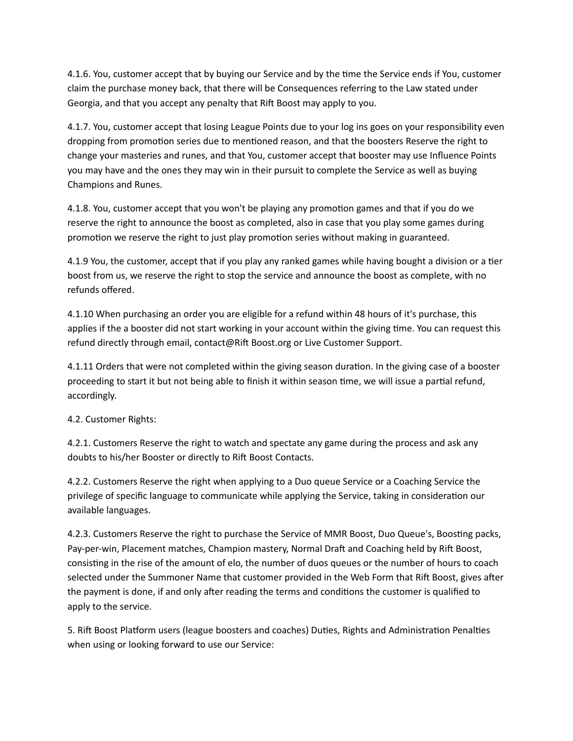4.1.6. You, customer accept that by buying our Service and by the time the Service ends if You, customer claim the purchase money back, that there will be Consequences referring to the Law stated under Georgia, and that you accept any penalty that Rift Boost may apply to you.

4.1.7. You, customer accept that losing League Points due to your log ins goes on your responsibility even dropping from promotion series due to mentioned reason, and that the boosters Reserve the right to change your masteries and runes, and that You, customer accept that booster may use Influence Points you may have and the ones they may win in their pursuit to complete the Service as well as buying Champions and Runes.

4.1.8. You, customer accept that you won't be playing any promotion games and that if you do we reserve the right to announce the boost as completed, also in case that you play some games during promotion we reserve the right to just play promotion series without making in guaranteed.

4.1.9 You, the customer, accept that if you play any ranked games while having bought a division or a tier boost from us, we reserve the right to stop the service and announce the boost as complete, with no refunds offered.

4.1.10 When purchasing an order you are eligible for a refund within 48 hours of it's purchase, this applies if the a booster did not start working in your account within the giving time. You can request this refund directly through email, contact@Rift Boost.org or Live Customer Support.

4.1.11 Orders that were not completed within the giving season duration. In the giving case of a booster proceeding to start it but not being able to finish it within season time, we will issue a partial refund, accordingly.

4.2. Customer Rights:

4.2.1. Customers Reserve the right to watch and spectate any game during the process and ask any doubts to his/her Booster or directly to Rift Boost Contacts.

4.2.2. Customers Reserve the right when applying to a Duo queue Service or a Coaching Service the privilege of specific language to communicate while applying the Service, taking in consideration our available languages.

4.2.3. Customers Reserve the right to purchase the Service of MMR Boost, Duo Queue's, Boosting packs, Pay-per-win, Placement matches, Champion mastery, Normal Draft and Coaching held by Rift Boost, consisting in the rise of the amount of elo, the number of duos queues or the number of hours to coach selected under the Summoner Name that customer provided in the Web Form that Rift Boost, gives after the payment is done, if and only after reading the terms and conditions the customer is qualified to apply to the service.

5. Rift Boost Platform users (league boosters and coaches) Duties, Rights and Administration Penalties when using or looking forward to use our Service: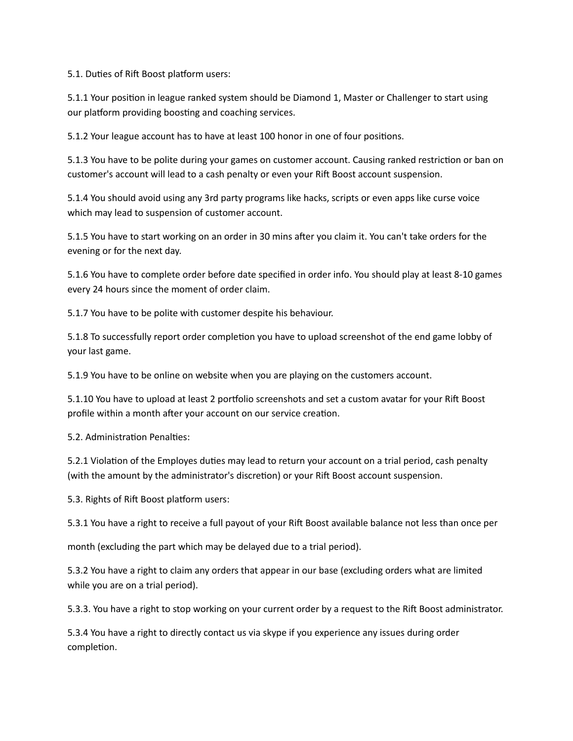5.1. Duties of Rift Boost platform users:

5.1.1 Your position in league ranked system should be Diamond 1, Master or Challenger to start using our platform providing boosting and coaching services.

5.1.2 Your league account has to have at least 100 honor in one of four positions.

5.1.3 You have to be polite during your games on customer account. Causing ranked restriction or ban on customer's account will lead to a cash penalty or even your Rift Boost account suspension.

5.1.4 You should avoid using any 3rd party programs like hacks, scripts or even apps like curse voice which may lead to suspension of customer account.

5.1.5 You have to start working on an order in 30 mins after you claim it. You can't take orders for the evening or for the next day.

5.1.6 You have to complete order before date specified in order info. You should play at least 8-10 games every 24 hours since the moment of order claim.

5.1.7 You have to be polite with customer despite his behaviour.

5.1.8 To successfully report order completion you have to upload screenshot of the end game lobby of your last game.

5.1.9 You have to be online on website when you are playing on the customers account.

5.1.10 You have to upload at least 2 portfolio screenshots and set a custom avatar for your Rift Boost profile within a month after your account on our service creation.

5.2. Administration Penalties:

5.2.1 Violation of the Employes duties may lead to return your account on a trial period, cash penalty (with the amount by the administrator's discretion) or your Rift Boost account suspension.

5.3. Rights of Rift Boost platform users:

5.3.1 You have a right to receive a full payout of your Rift Boost available balance not less than once per

month (excluding the part which may be delayed due to a trial period).

5.3.2 You have a right to claim any orders that appear in our base (excluding orders what are limited while you are on a trial period).

5.3.3. You have a right to stop working on your current order by a request to the Rift Boost administrator.

5.3.4 You have a right to directly contact us via skype if you experience any issues during order completion.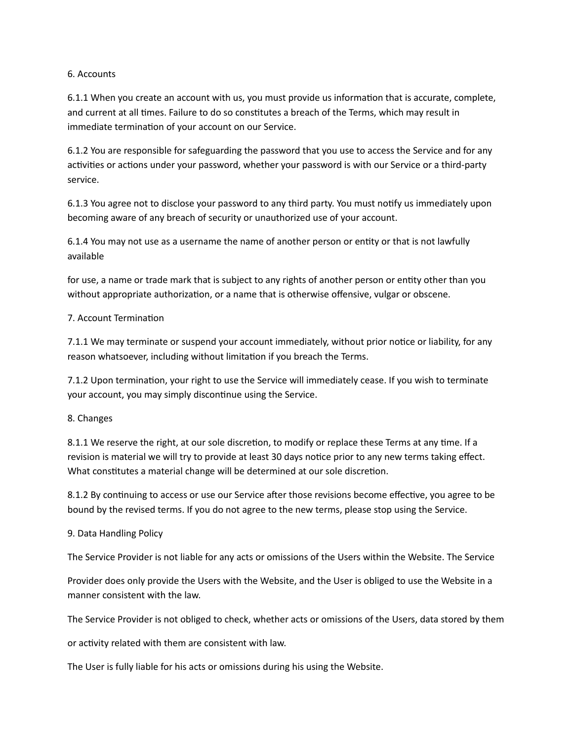#### 6. Accounts

6.1.1 When you create an account with us, you must provide us information that is accurate, complete, and current at all times. Failure to do so constitutes a breach of the Terms, which may result in immediate termination of your account on our Service.

6.1.2 You are responsible for safeguarding the password that you use to access the Service and for any activities or actions under your password, whether your password is with our Service or a third-party service.

6.1.3 You agree not to disclose your password to any third party. You must notify us immediately upon becoming aware of any breach of security or unauthorized use of your account.

6.1.4 You may not use as a username the name of another person or entity or that is not lawfully available

for use, a name or trade mark that is subject to any rights of another person or entity other than you without appropriate authorization, or a name that is otherwise offensive, vulgar or obscene.

## 7. Account Termination

7.1.1 We may terminate or suspend your account immediately, without prior notice or liability, for any reason whatsoever, including without limitation if you breach the Terms.

7.1.2 Upon termination, your right to use the Service will immediately cease. If you wish to terminate your account, you may simply discontinue using the Service.

## 8. Changes

8.1.1 We reserve the right, at our sole discretion, to modify or replace these Terms at any time. If a revision is material we will try to provide at least 30 days notice prior to any new terms taking effect. What constitutes a material change will be determined at our sole discretion.

8.1.2 By continuing to access or use our Service after those revisions become effective, you agree to be bound by the revised terms. If you do not agree to the new terms, please stop using the Service.

## 9. Data Handling Policy

The Service Provider is not liable for any acts or omissions of the Users within the Website. The Service

Provider does only provide the Users with the Website, and the User is obliged to use the Website in a manner consistent with the law.

The Service Provider is not obliged to check, whether acts or omissions of the Users, data stored by them

or activity related with them are consistent with law.

The User is fully liable for his acts or omissions during his using the Website.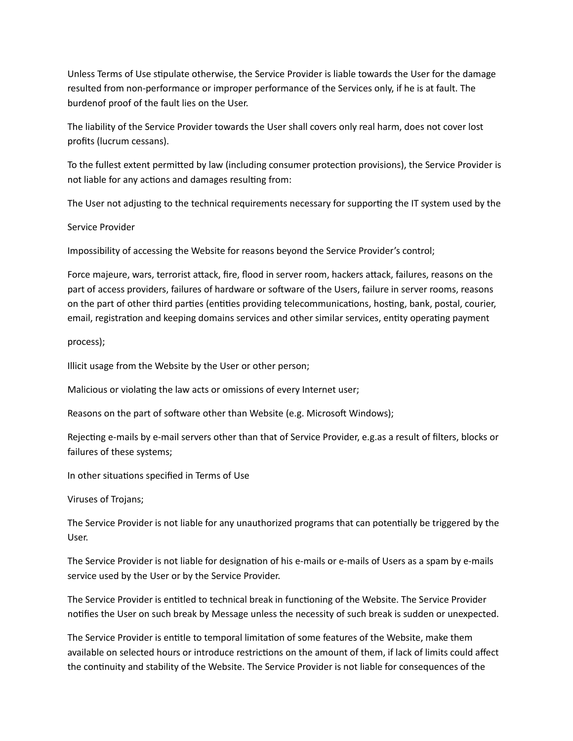Unless Terms of Use stipulate otherwise, the Service Provider is liable towards the User for the damage resulted from non-performance or improper performance of the Services only, if he is at fault. The burdenof proof of the fault lies on the User.

The liability of the Service Provider towards the User shall covers only real harm, does not cover lost profits (lucrum cessans).

To the fullest extent permitted by law (including consumer protection provisions), the Service Provider is not liable for any actions and damages resulting from:

The User not adjusting to the technical requirements necessary for supporting the IT system used by the

Service Provider

Impossibility of accessing the Website for reasons beyond the Service Provider's control;

Force majeure, wars, terrorist attack, fire, flood in server room, hackers attack, failures, reasons on the part of access providers, failures of hardware or software of the Users, failure in server rooms, reasons on the part of other third parties (entities providing telecommunications, hosting, bank, postal, courier, email, registration and keeping domains services and other similar services, entity operating payment

process);

Illicit usage from the Website by the User or other person;

Malicious or violating the law acts or omissions of every Internet user;

Reasons on the part of software other than Website (e.g. Microsoft Windows);

Rejecting e-mails by e-mail servers other than that of Service Provider, e.g.as a result of filters, blocks or failures of these systems;

In other situations specified in Terms of Use

Viruses of Trojans;

The Service Provider is not liable for any unauthorized programs that can potentially be triggered by the User.

The Service Provider is not liable for designation of his e-mails or e-mails of Users as a spam by e-mails service used by the User or by the Service Provider.

The Service Provider is entitled to technical break in functioning of the Website. The Service Provider notifies the User on such break by Message unless the necessity of such break is sudden or unexpected.

The Service Provider is entitle to temporal limitation of some features of the Website, make them available on selected hours or introduce restrictions on the amount of them, if lack of limits could affect the continuity and stability of the Website. The Service Provider is not liable for consequences of the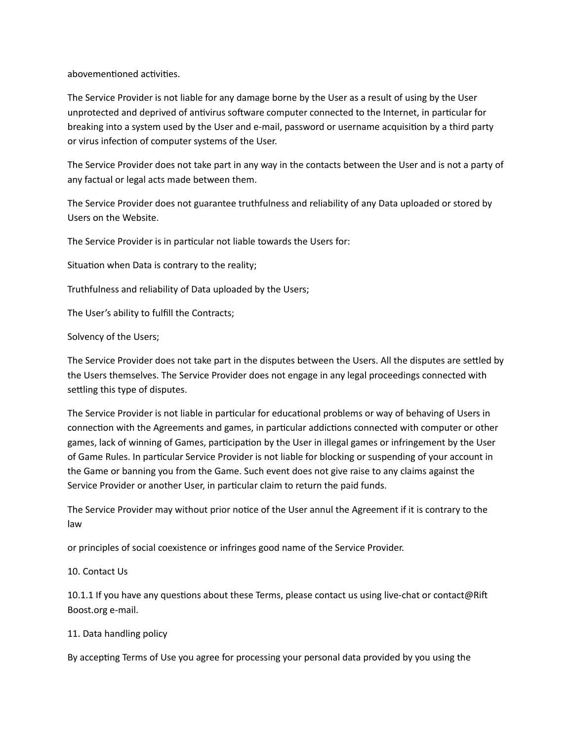abovementioned activities.

The Service Provider is not liable for any damage borne by the User as a result of using by the User unprotected and deprived of antivirus software computer connected to the Internet, in particular for breaking into a system used by the User and e-mail, password or username acquisition by a third party or virus infection of computer systems of the User.

The Service Provider does not take part in any way in the contacts between the User and is not a party of any factual or legal acts made between them.

The Service Provider does not guarantee truthfulness and reliability of any Data uploaded or stored by Users on the Website.

The Service Provider is in particular not liable towards the Users for:

Situation when Data is contrary to the reality;

Truthfulness and reliability of Data uploaded by the Users;

The User's ability to fulfill the Contracts;

## Solvency of the Users;

The Service Provider does not take part in the disputes between the Users. All the disputes are settled by the Users themselves. The Service Provider does not engage in any legal proceedings connected with settling this type of disputes.

The Service Provider is not liable in particular for educational problems or way of behaving of Users in connection with the Agreements and games, in particular addictions connected with computer or other games, lack of winning of Games, participation by the User in illegal games or infringement by the User of Game Rules. In particular Service Provider is not liable for blocking or suspending of your account in the Game or banning you from the Game. Such event does not give raise to any claims against the Service Provider or another User, in particular claim to return the paid funds.

The Service Provider may without prior notice of the User annul the Agreement if it is contrary to the law

or principles of social coexistence or infringes good name of the Service Provider.

## 10. Contact Us

10.1.1 If you have any questions about these Terms, please contact us using live-chat or contact@Rift Boost.org e-mail.

## 11. Data handling policy

By accepting Terms of Use you agree for processing your personal data provided by you using the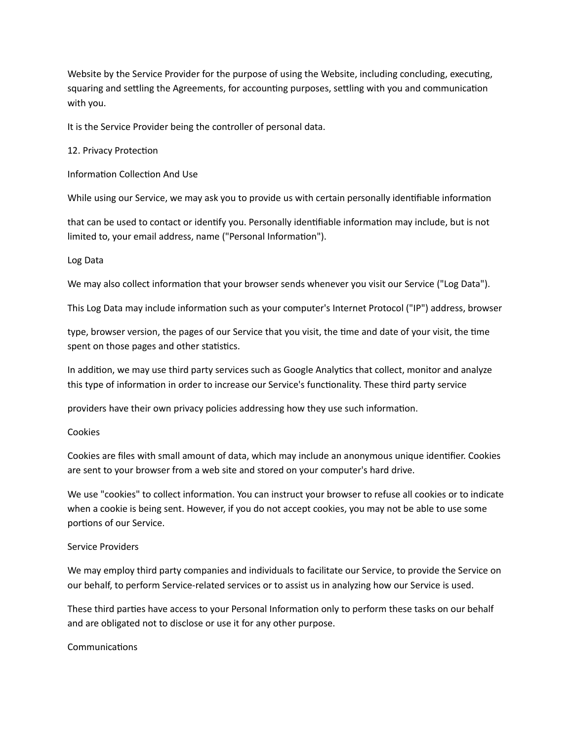Website by the Service Provider for the purpose of using the Website, including concluding, executing, squaring and settling the Agreements, for accounting purposes, settling with you and communication with you.

It is the Service Provider being the controller of personal data.

#### 12. Privacy Protection

Information Collection And Use

While using our Service, we may ask you to provide us with certain personally identifiable information

that can be used to contact or identify you. Personally identifiable information may include, but is not limited to, your email address, name ("Personal Information").

#### Log Data

We may also collect information that your browser sends whenever you visit our Service ("Log Data").

This Log Data may include information such as your computer's Internet Protocol ("IP") address, browser

type, browser version, the pages of our Service that you visit, the time and date of your visit, the time spent on those pages and other statistics.

In addition, we may use third party services such as Google Analytics that collect, monitor and analyze this type of information in order to increase our Service's functionality. These third party service

providers have their own privacy policies addressing how they use such information.

#### Cookies

Cookies are files with small amount of data, which may include an anonymous unique identifier. Cookies are sent to your browser from a web site and stored on your computer's hard drive.

We use "cookies" to collect information. You can instruct your browser to refuse all cookies or to indicate when a cookie is being sent. However, if you do not accept cookies, you may not be able to use some portions of our Service.

## Service Providers

We may employ third party companies and individuals to facilitate our Service, to provide the Service on our behalf, to perform Service-related services or to assist us in analyzing how our Service is used.

These third parties have access to your Personal Information only to perform these tasks on our behalf and are obligated not to disclose or use it for any other purpose.

#### Communications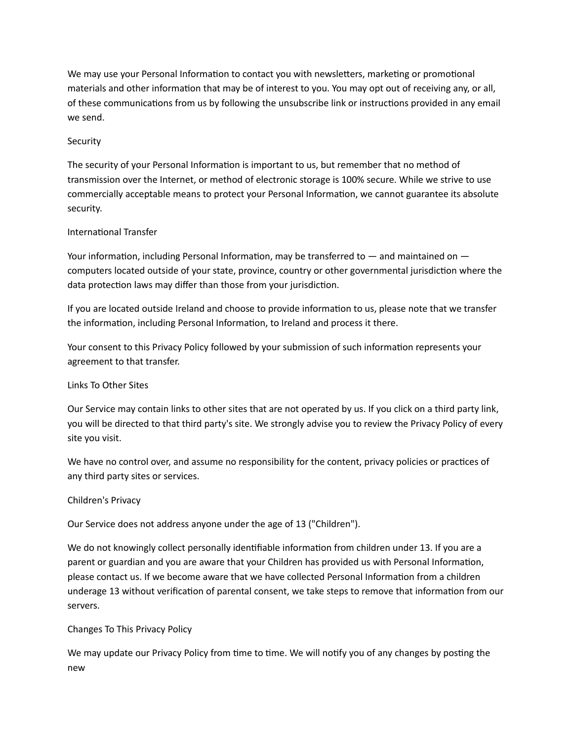We may use your Personal Information to contact you with newsletters, marketing or promotional materials and other information that may be of interest to you. You may opt out of receiving any, or all, of these communications from us by following the unsubscribe link or instructions provided in any email we send.

## Security

The security of your Personal Information is important to us, but remember that no method of transmission over the Internet, or method of electronic storage is 100% secure. While we strive to use commercially acceptable means to protect your Personal Information, we cannot guarantee its absolute security.

## International Transfer

Your information, including Personal Information, may be transferred to — and maintained on computers located outside of your state, province, country or other governmental jurisdiction where the data protection laws may differ than those from your jurisdiction.

If you are located outside Ireland and choose to provide information to us, please note that we transfer the information, including Personal Information, to Ireland and process it there.

Your consent to this Privacy Policy followed by your submission of such information represents your agreement to that transfer.

## Links To Other Sites

Our Service may contain links to other sites that are not operated by us. If you click on a third party link, you will be directed to that third party's site. We strongly advise you to review the Privacy Policy of every site you visit.

We have no control over, and assume no responsibility for the content, privacy policies or practices of any third party sites or services.

## Children's Privacy

Our Service does not address anyone under the age of 13 ("Children").

We do not knowingly collect personally identifiable information from children under 13. If you are a parent or guardian and you are aware that your Children has provided us with Personal Information, please contact us. If we become aware that we have collected Personal Information from a children underage 13 without verification of parental consent, we take steps to remove that information from our servers.

## Changes To This Privacy Policy

We may update our Privacy Policy from time to time. We will notify you of any changes by posting the new